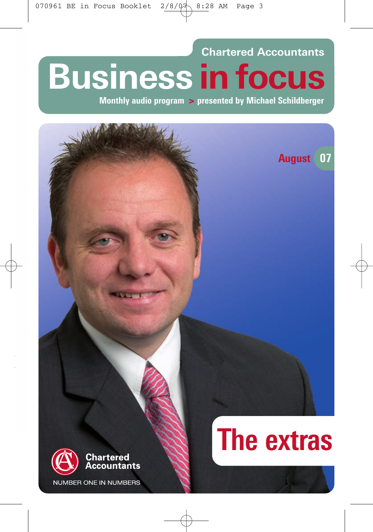**Chartered Accountants Business in focus** 

Monthly audio program > presented by Michael Schildberger

# **August** 07 **The extras** Chartered ccountants **NUMBER ONE IN NUMBERS**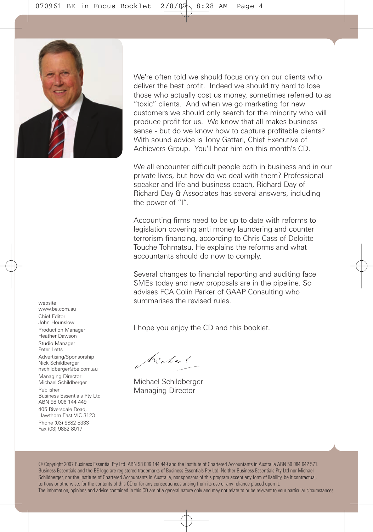We're often told we should focus only on our clients who deliver the best profit. Indeed we should try hard to lose those who actually cost us money, sometimes referred to as "toxic" clients. And when we go marketing for new customers we should only search for the minority who will produce profit for us. We know that all makes business sense - but do we know how to capture profitable clients? With sound advice is Tony Gattari, Chief Executive of Achievers Group. You'll hear him on this month's CD.

We all encounter difficult people both in business and in our private lives, but how do we deal with them? Professional speaker and life and business coach, Richard Day of Richard Day & Associates has several answers, including the power of "I".

Accounting firms need to be up to date with reforms to legislation covering anti money laundering and counter terrorism financing, according to Chris Cass of Deloitte Touche Tohmatsu. He explains the reforms and what accountants should do now to comply.

Several changes to financial reporting and auditing face SMEs today and new proposals are in the pipeline. So advises FCA Colin Parker of GAAP Consulting who summarises the revised rules.

I hope you enjoy the CD and this booklet.

Michael

Michael Schildberger Managing Director

© Copyright 2007 Business Essential Pty Ltd ABN 98 006 144 449 and the Institute of Chartered Accountants in Australia ABN 50 084 642 571. Business Essentials and the BE logo are registered trademarks of Business Essentials Pty Ltd. Neither Business Essentials Pty Ltd nor Michael Schildberger, nor the Institute of Chartered Accountants in Australia, nor sponsors of this program accept any form of liability, be it contractual, tortious or otherwise, for the contents of this CD or for any consequences arising from its use or any reliance placed upon it. The information, opinions and advice contained in this CD are of a general nature only and may not relate to or be relevant to your particular circumstances.

website www.be.com.au Chief Editor John Hounslow Production Manager Heather Dawson Studio Manager Peter Letts Advertising/Sponsorship Nick Schildberger nschildberger@be.com.au Managing Director Michael Schildberger Publisher Business Essentials Pty Ltd ABN 98 006 144 449 405 Riversdale Road, Hawthorn East VIC 3123 Phone (03) 9882 8333 Fax (03) 9882 8017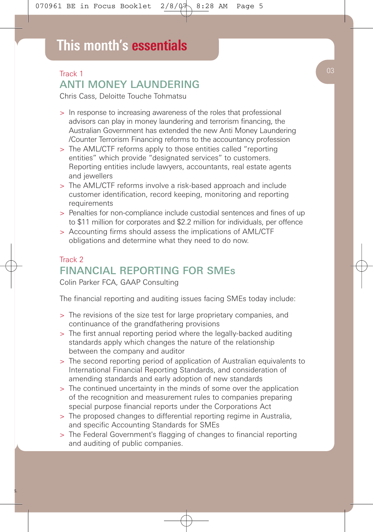# Track 1 ANTI MONEY LAUNDERING

Chris Cass, Deloitte Touche Tohmatsu

- > In response to increasing awareness of the roles that professional advisors can play in money laundering and terrorism financing, the Australian Government has extended the new Anti Money Laundering /Counter Terrorism Financing reforms to the accountancy profession
- > The AML/CTF reforms apply to those entities called "reporting entities" which provide "designated services" to customers. Reporting entities include lawyers, accountants, real estate agents and jewellers
- > The AML/CTF reforms involve a risk-based approach and include customer identification, record keeping, monitoring and reporting requirements
- > Penalties for non-compliance include custodial sentences and fines of up to \$11 million for corporates and \$2.2 million for individuals, per offence
- > Accounting firms should assess the implications of AML/CTF obligations and determine what they need to do now.

# Track 2 FINANCIAL REPORTING FOR SMEs

Colin Parker FCA, GAAP Consulting

The financial reporting and auditing issues facing SMEs today include:

- > The revisions of the size test for large proprietary companies, and continuance of the grandfathering provisions
- > The first annual reporting period where the legally-backed auditing standards apply which changes the nature of the relationship between the company and auditor
- > The second reporting period of application of Australian equivalents to International Financial Reporting Standards, and consideration of amending standards and early adoption of new standards
- > The continued uncertainty in the minds of some over the application of the recognition and measurement rules to companies preparing special purpose financial reports under the Corporations Act
- > The proposed changes to differential reporting regime in Australia, and specific Accounting Standards for SMEs
- > The Federal Government's flagging of changes to financial reporting and auditing of public companies.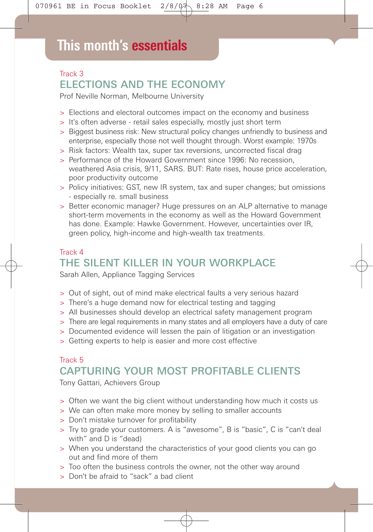# Track 3 ELECTIONS AND THE ECONOMY

Prof Neville Norman, Melbourne University

- > Elections and electoral outcomes impact on the economy and business
- > It's often adverse retail sales especially, mostly just short term
- > Biggest business risk: New structural policy changes unfriendly to business and enterprise, especially those not well thought through. Worst example: 1970s
- > Risk factors: Wealth tax, super tax reversions, uncorrected fiscal drag
- > Performance of the Howard Government since 1996: No recession, weathered Asia crisis, 9/11, SARS. BUT: Rate rises, house price acceleration, poor productivity outcome
- > Policy initiatives: GST, new IR system, tax and super changes; but omissions - especially re. small business
- > Better economic manager? Huge pressures on an ALP alternative to manage short-term movements in the economy as well as the Howard Government has done. Example: Hawke Government. However, uncertainties over IR, green policy, high-income and high-wealth tax treatments.

## Track 4 THE SILENT KILLER IN YOUR WORKPLACE

Sarah Allen, Appliance Tagging Services

- > Out of sight, out of mind make electrical faults a very serious hazard
- > There's a huge demand now for electrical testing and tagging
- > All businesses should develop an electrical safety management program
- > There are legal requirements in many states and all employers have a duty of care
- > Documented evidence will lessen the pain of litigation or an investigation
- > Getting experts to help is easier and more cost effective

## Track 5 CAPTURING YOUR MOST PROFITABLE CLIENTS

Tony Gattari, Achievers Group

- > Often we want the big client without understanding how much it costs us
- > We can often make more money by selling to smaller accounts
- > Don't mistake turnover for profitability
- > Try to grade your customers. A is "awesome", B is "basic", C is "can't deal with" and D is "dead)
- > When you understand the characteristics of your good clients you can go out and find more of them
- > Too often the business controls the owner, not the other way around
- > Don't be afraid to "sack" a bad client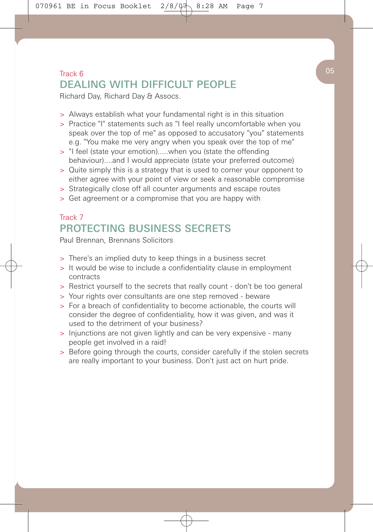# $\begin{pmatrix} 0 & 0 \end{pmatrix}$ DEALING WITH DIFFICULT PFOPLE

Richard Day, Richard Day & Assocs.

- > Always establish what your fundamental right is in this situation
- > Practice "I" statements such as "I feel really uncomfortable when you speak over the top of me" as opposed to accusatory "you" statements e.g. "You make me very angry when you speak over the top of me"
- > "I feel (state your emotion).....when you (state the offending behaviour)....and I would appreciate (state your preferred outcome)
- > Quite simply this is a strategy that is used to corner your opponent to either agree with your point of view or seek a reasonable compromise
- > Strategically close off all counter arguments and escape routes
- > Get agreement or a compromise that you are happy with

# Track 7 PROTECTING BUSINESS SECRETS

Paul Brennan, Brennans Solicitors

- > There's an implied duty to keep things in a business secret
- > It would be wise to include a confidentiality clause in employment contracts
- > Restrict yourself to the secrets that really count don't be too general
- > Your rights over consultants are one step removed beware
- > For a breach of confidentiality to become actionable, the courts will consider the degree of confidentiality, how it was given, and was it used to the detriment of your business?
- > Injunctions are not given lightly and can be very expensive many people get involved in a raid!
- > Before going through the courts, consider carefully if the stolen secrets are really important to your business. Don't just act on hurt pride.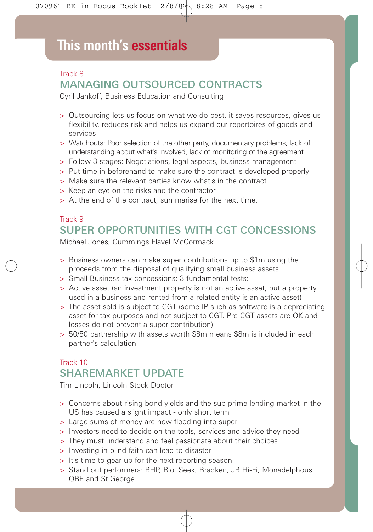# **This month's essentials**

# Track 8 MANAGING OUTSOURCED CONTRACTS

Cyril Jankoff, Business Education and Consulting

- > Outsourcing lets us focus on what we do best, it saves resources, gives us flexibility, reduces risk and helps us expand our repertoires of goods and services
- > Watchouts: Poor selection of the other party, documentary problems, lack of understanding about what's involved, lack of monitoring of the agreement
- > Follow 3 stages: Negotiations, legal aspects, business management
- > Put time in beforehand to make sure the contract is developed properly
- > Make sure the relevant parties know what's in the contract
- > Keep an eye on the risks and the contractor
- > At the end of the contract, summarise for the next time.

### Track 9 SUPER OPPORTUNITIES WITH CGT CONCESSIONS

Michael Jones, Cummings Flavel McCormack

- > Business owners can make super contributions up to \$1m using the proceeds from the disposal of qualifying small business assets
- > Small Business tax concessions: 3 fundamental tests:
- > Active asset (an investment property is not an active asset, but a property used in a business and rented from a related entity is an active asset)
- > The asset sold is subject to CGT (some IP such as software is a depreciating asset for tax purposes and not subject to CGT. Pre-CGT assets are OK and losses do not prevent a super contribution)
- > 50/50 partnership with assets worth \$8m means \$8m is included in each partner's calculation

# Track 10 SHAREMARKET UPDATE

Tim Lincoln, Lincoln Stock Doctor

- > Concerns about rising bond yields and the sub prime lending market in the US has caused a slight impact - only short term
- > Large sums of money are now flooding into super
- > Investors need to decide on the tools, services and advice they need
- > They must understand and feel passionate about their choices
- > Investing in blind faith can lead to disaster
- > It's time to gear up for the next reporting season
- > Stand out performers: BHP, Rio, Seek, Bradken, JB Hi-Fi, Monadelphous, QBE and St George.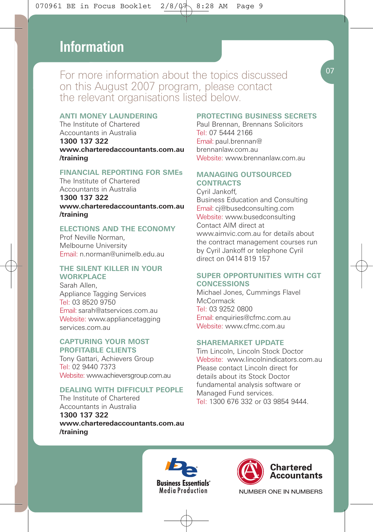# **This month's essentials Information**

For more information about the topics discussed on this August 2007 program, please contact the relevant organisations listed below.

#### **ANTI MONEY LAUNDERING**

The Institute of Chartered Accountants in Australia **1300 137 322 www.charteredaccountants.com.au /training**

#### **FINANCIAL REPORTING FOR SMEs**

The Institute of Chartered Accountants in Australia

**1300 137 322 www.charteredaccountants.com.au /training**

#### **ELECTIONS AND THE ECONOMY**

Prof Neville Norman, Melbourne University Email: n.norman@unimelb.edu.au

#### **THE SILENT KILLER IN YOUR WORKPLACE**

Sarah Allen, Appliance Tagging Services Tel: 03 8520 9750 Email: sarah@atservices.com.au Website: www.appliancetagging services.com.au

#### **CAPTURING YOUR MOST PROFITABLE CLIENTS**

Tony Gattari, Achievers Group Tel: 02 9440 7373 Website: www.achieversgroup.com.au

#### **DEALING WITH DIFFICULT PEOPLE**

The Institute of Chartered Accountants in Australia **1300 137 322 www.charteredaccountants.com.au /training**

#### **PROTECTING BUSINESS SECRETS** Paul Brennan, Brennans Solicitors Tel: 07 5444 2166

Email: paul.brennan@ brennanlaw.com.au Website: www.brennanlaw.com.au

#### **MANAGING OUTSOURCED CONTRACTS**

Cyril Jankoff, Business Education and Consulting Email: cj@busedconsulting.com Website: www.busedconsulting Contact AIM direct at www.aimvic.com.au for details about the contract management courses run by Cyril Jankoff or telephone Cyril direct on 0414 819 157

#### **SUPER OPPORTUNITIES WITH CGT CONCESSIONS**

Michael Jones, Cummings Flavel **McCormack** Tel: 03 9252 0800 Email: enquiries@cfmc.com.au Website: www.cfmc.com.au

#### **SHAREMARKET UPDATE**

Tim Lincoln, Lincoln Stock Doctor Website: www.lincolnindicators.com.au Please contact Lincoln direct for details about its Stock Doctor fundamental analysis software or Managed Fund services. Tel: 1300 676 332 or 03 9854 9444.







NUMBER ONE IN NUMBERS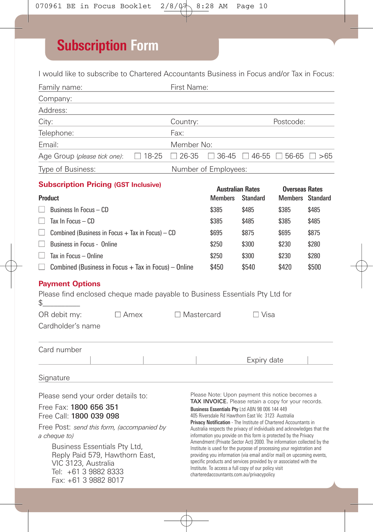# **Subscription Form**

I would like to subscribe to Chartered Accountants Business in Focus and/or Tax in Focus:

| Family name:                                                                                                                                                                                                                                                                                   |              | First Name:       |                                                                                                                                                                                                                                                                                                                                                                                                                                                                                                                                                                                                                                                                                                                                                                                                                                        |                                                   |                                                  |       |  |  |
|------------------------------------------------------------------------------------------------------------------------------------------------------------------------------------------------------------------------------------------------------------------------------------------------|--------------|-------------------|----------------------------------------------------------------------------------------------------------------------------------------------------------------------------------------------------------------------------------------------------------------------------------------------------------------------------------------------------------------------------------------------------------------------------------------------------------------------------------------------------------------------------------------------------------------------------------------------------------------------------------------------------------------------------------------------------------------------------------------------------------------------------------------------------------------------------------------|---------------------------------------------------|--------------------------------------------------|-------|--|--|
| Company:                                                                                                                                                                                                                                                                                       |              |                   |                                                                                                                                                                                                                                                                                                                                                                                                                                                                                                                                                                                                                                                                                                                                                                                                                                        |                                                   |                                                  |       |  |  |
| Address:                                                                                                                                                                                                                                                                                       |              |                   |                                                                                                                                                                                                                                                                                                                                                                                                                                                                                                                                                                                                                                                                                                                                                                                                                                        |                                                   |                                                  |       |  |  |
| City:                                                                                                                                                                                                                                                                                          | Country:     |                   | Postcode:                                                                                                                                                                                                                                                                                                                                                                                                                                                                                                                                                                                                                                                                                                                                                                                                                              |                                                   |                                                  |       |  |  |
| Telephone:                                                                                                                                                                                                                                                                                     |              | Fax:              |                                                                                                                                                                                                                                                                                                                                                                                                                                                                                                                                                                                                                                                                                                                                                                                                                                        |                                                   |                                                  |       |  |  |
| Email:                                                                                                                                                                                                                                                                                         |              | Member No:        |                                                                                                                                                                                                                                                                                                                                                                                                                                                                                                                                                                                                                                                                                                                                                                                                                                        |                                                   |                                                  |       |  |  |
| Age Group (please tick one):                                                                                                                                                                                                                                                                   | $\Box$ 18-25 | $\Box$ 26-35      |                                                                                                                                                                                                                                                                                                                                                                                                                                                                                                                                                                                                                                                                                                                                                                                                                                        | $\Box$ 36-45 $\Box$ 46-55 $\Box$ 56-65 $\Box$ >65 |                                                  |       |  |  |
| Type of Business:                                                                                                                                                                                                                                                                              |              |                   | Number of Employees:                                                                                                                                                                                                                                                                                                                                                                                                                                                                                                                                                                                                                                                                                                                                                                                                                   |                                                   |                                                  |       |  |  |
| <b>Subscription Pricing (GST Inclusive)</b>                                                                                                                                                                                                                                                    |              |                   |                                                                                                                                                                                                                                                                                                                                                                                                                                                                                                                                                                                                                                                                                                                                                                                                                                        |                                                   |                                                  |       |  |  |
| Product                                                                                                                                                                                                                                                                                        |              |                   | <b>Australian Rates</b><br><b>Members</b>                                                                                                                                                                                                                                                                                                                                                                                                                                                                                                                                                                                                                                                                                                                                                                                              | <b>Standard</b>                                   | <b>Overseas Rates</b><br><b>Members</b> Standard |       |  |  |
| Business In Focus - CD                                                                                                                                                                                                                                                                         |              |                   | \$385                                                                                                                                                                                                                                                                                                                                                                                                                                                                                                                                                                                                                                                                                                                                                                                                                                  | \$485                                             | \$385                                            | \$485 |  |  |
| Tax In Focus $-$ CD<br>H                                                                                                                                                                                                                                                                       | \$385        | \$485             | \$385                                                                                                                                                                                                                                                                                                                                                                                                                                                                                                                                                                                                                                                                                                                                                                                                                                  | \$485                                             |                                                  |       |  |  |
| Combined (Business in Focus $+$ Tax in Focus) $-$ CD<br>$\mathsf{L}$                                                                                                                                                                                                                           | \$695        | \$875             | \$695                                                                                                                                                                                                                                                                                                                                                                                                                                                                                                                                                                                                                                                                                                                                                                                                                                  | \$875                                             |                                                  |       |  |  |
| $\mathsf{L}$<br>Business in Focus - Online                                                                                                                                                                                                                                                     | \$250        | \$300             | \$230                                                                                                                                                                                                                                                                                                                                                                                                                                                                                                                                                                                                                                                                                                                                                                                                                                  | \$280                                             |                                                  |       |  |  |
| Tax in Focus - Online<br>$\mathsf{L}$                                                                                                                                                                                                                                                          |              |                   | \$250                                                                                                                                                                                                                                                                                                                                                                                                                                                                                                                                                                                                                                                                                                                                                                                                                                  | \$300                                             | \$230                                            | \$280 |  |  |
| $\Box$ Combined (Business in Focus + Tax in Focus) – Online                                                                                                                                                                                                                                    |              |                   | \$450                                                                                                                                                                                                                                                                                                                                                                                                                                                                                                                                                                                                                                                                                                                                                                                                                                  | \$540                                             | \$420                                            | \$500 |  |  |
| <b>Payment Options</b><br>Please find enclosed cheque made payable to Business Essentials Pty Ltd for<br>\$<br>OR debit my:<br>$\Box$ Amex<br>Cardholder's name                                                                                                                                |              | $\Box$ Mastercard |                                                                                                                                                                                                                                                                                                                                                                                                                                                                                                                                                                                                                                                                                                                                                                                                                                        | $\Box$ Visa                                       |                                                  |       |  |  |
| Card number                                                                                                                                                                                                                                                                                    |              |                   |                                                                                                                                                                                                                                                                                                                                                                                                                                                                                                                                                                                                                                                                                                                                                                                                                                        |                                                   |                                                  |       |  |  |
|                                                                                                                                                                                                                                                                                                |              |                   |                                                                                                                                                                                                                                                                                                                                                                                                                                                                                                                                                                                                                                                                                                                                                                                                                                        | Expiry date                                       |                                                  |       |  |  |
| Signature                                                                                                                                                                                                                                                                                      |              |                   |                                                                                                                                                                                                                                                                                                                                                                                                                                                                                                                                                                                                                                                                                                                                                                                                                                        |                                                   |                                                  |       |  |  |
| Please send your order details to:<br>Free Fax: 1800 656 351<br>Free Call: 1800 039 098<br>Free Post: send this form, (accompanied by<br>a cheque to)<br>Business Essentials Pty Ltd,<br>Reply Paid 579, Hawthorn East,<br>VIC 3123, Australia<br>Tel: +61 3 9882 8333<br>Fax: +61 3 9882 8017 |              |                   | Please Note: Upon payment this notice becomes a<br>TAX INVOICE. Please retain a copy for your records.<br>Business Essentials Pty Ltd ABN 98 006 144 449<br>405 Riversdale Rd Hawthorn East Vic 3123 Australia<br>Privacy Notification - The Institute of Chartered Accountants in<br>Australia respects the privacy of individuals and acknowledges that the<br>information you provide on this form is protected by the Privacy<br>Amendment (Private Sector Act) 2000. The information collected by the<br>Institute is used for the purpose of processing your registration and<br>providing you information (via email and/or mail) on upcoming events,<br>specific products and services provided by or associated with the<br>Institute. To access a full copy of our policy visit<br>charteredaccountants.com.au/privacypolicy |                                                   |                                                  |       |  |  |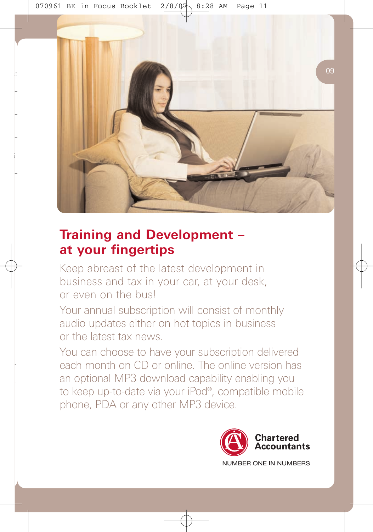

# **Training and Development – at your fingertips**

Keep abreast of the latest development in business and tax in your car, at your desk, or even on the bus!

Your annual subscription will consist of monthly audio updates either on hot topics in business or the latest tax news.

You can choose to have your subscription delivered each month on CD or online. The online version has an optional MP3 download capability enabling you to keep up-to-date via your iPod®, compatible mobile phone, PDA or any other MP3 device.

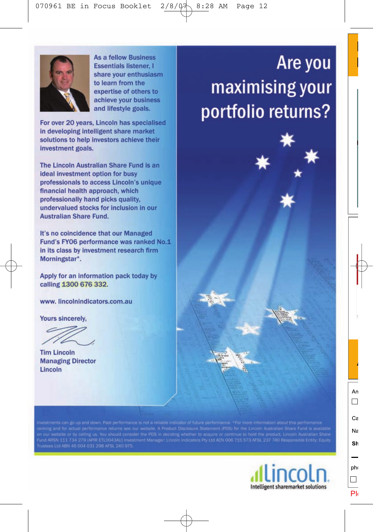

**As a fellow Business Essentials listener. I** share your enthusiasm to learn from the expertise of others to achieve your business and lifestyle goals.

For over 20 years, Lincoln has specialised in developing intelligent share market solutions to help investors achieve their investment goals.

The Lincoln Australian Share Fund is an ideal investment option for busy professionals to access Lincoln's unique financial health approach, which professionally hand picks quality. undervalued stocks for inclusion in our **Australian Share Fund.** 

It's no coincidence that our Managed Fund's FY06 performance was ranked No.1 in its class by investment research firm Morningstar\*.

Apply for an information pack today by calling 1300 676 332.

www.lincolnindicators.com.au

Yours sincerely.

**Tim Lincoln Managing Director** Lincoln

n our website or by calling us. You should consider the PDS in deciding whether to acquire or continue to hold the product example Funo is wastele<br>und ARSN 111 734 279 (APIR ETLO043AU) Investment Manager: Lincoln Indicator



# Are you maximising your portfolio returns?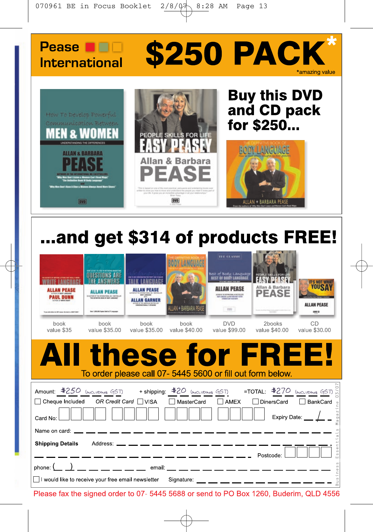



# ...and get \$314 of products FREE!

| ALLAN PEASE<br><b>PAUL DUNN</b><br>book<br>value \$35                                            | <b>ALLAN PEASE</b><br><b>ES ALTHORNEY THE INTERNATIONAL ART I RETTING AN</b><br>Sear 1,000,000 Square Sete to 27 Languages<br>book<br>value \$35,00 | <b>ALLAN PEASE</b><br>ALLAN GARNER<br>book<br>value \$35,00 | LAN + BARBARA PE<br>book<br>value \$40,00 | <b>THE ELAMIE</b><br><b>Best of Body Language</b><br><b>Michel auch Mit Alderen</b><br>1.700<br><b>DVD</b><br>value \$99,00               | Allan & Barbara<br><b>PEASE</b><br>2books<br>value \$40,00 | <b>IT'S NOT WHA</b><br>YOUSA<br><b>ALLAN PEASE</b><br>4994 03<br>CD<br>value \$30,00 |
|--------------------------------------------------------------------------------------------------|-----------------------------------------------------------------------------------------------------------------------------------------------------|-------------------------------------------------------------|-------------------------------------------|-------------------------------------------------------------------------------------------------------------------------------------------|------------------------------------------------------------|--------------------------------------------------------------------------------------|
| A III                                                                                            |                                                                                                                                                     |                                                             |                                           | these for FREE!<br>To order please call 07-5445 5600 or fill out form below.                                                              |                                                            |                                                                                      |
| $\Box$ Cheque Included OR Credit Card $\Box$ VISA<br>Card No:                                    |                                                                                                                                                     |                                                             |                                           | □ MasterCard   □ AMEX                                                                                                                     | □ DinersCard                                               | BankCard ↓<br>gaz<br>Expiry Date: $\_\_\_\_\_\_\_\_\$                                |
| Name on card: _<br><b>Shipping Details</b><br>I would like to receive your free email newsletter |                                                                                                                                                     |                                                             | Address: __ __ __ __ __ __ __ __ __ __    | — — — — — — — — Postcode:<br>phone: (_ _) __ __ __ __ __ __ email: __ __ __ __ __ __ __ __ __<br>Signature: __ __ __ __ __ __ __ __ __ __ |                                                            | $\omega$<br>$\omega$                                                                 |

Please fax the signed order to 07- 5445 5688 or send to PO Box 1260, Buderim, QLD 4556